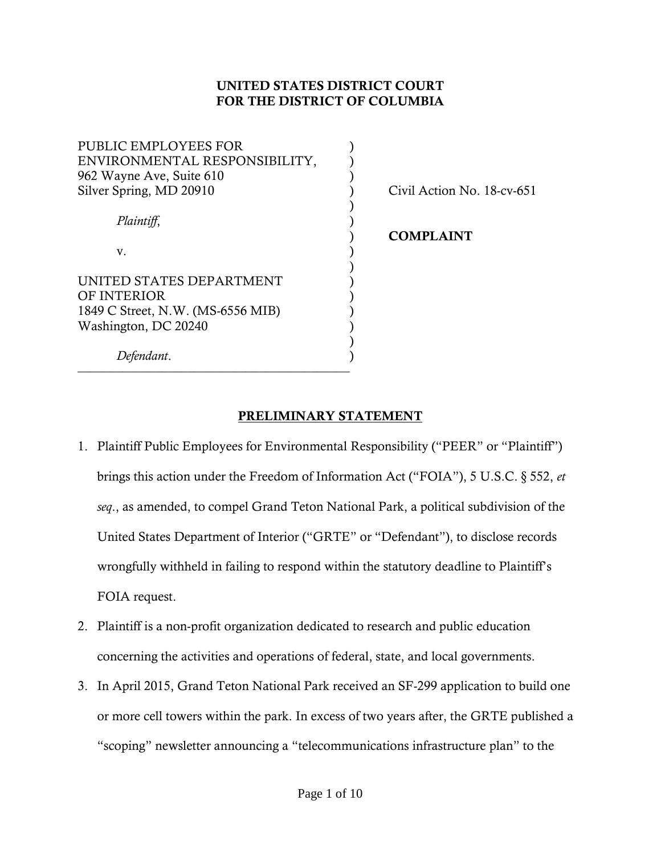## UNITED STATES DISTRICT COURT FOR THE DISTRICT OF COLUMBIA

| PUBLIC EMPLOYEES FOR              |  |
|-----------------------------------|--|
| ENVIRONMENTAL RESPONSIBILITY,     |  |
| 962 Wayne Ave, Suite 610          |  |
| Silver Spring, MD 20910           |  |
|                                   |  |
| Plaintiff,                        |  |
|                                   |  |
| v.                                |  |
|                                   |  |
| UNITED STATES DEPARTMENT          |  |
| OF INTERIOR                       |  |
| 1849 C Street, N.W. (MS-6556 MIB) |  |
| Washington, DC 20240              |  |
|                                   |  |
| Defendant.                        |  |

––––––––––––––––––––––––––––––––––––––––––

Civil Action No. 18-cv-651

) COMPLAINT

### PRELIMINARY STATEMENT

- 1. Plaintiff Public Employees for Environmental Responsibility ("PEER" or "Plaintiff") brings this action under the Freedom of Information Act ("FOIA"), 5 U.S.C. § 552, *et seq*., as amended, to compel Grand Teton National Park, a political subdivision of the United States Department of Interior ("GRTE" or "Defendant"), to disclose records wrongfully withheld in failing to respond within the statutory deadline to Plaintiff's FOIA request.
- 2. Plaintiff is a non-profit organization dedicated to research and public education concerning the activities and operations of federal, state, and local governments.
- 3. In April 2015, Grand Teton National Park received an SF-299 application to build one or more cell towers within the park. In excess of two years after, the GRTE published a "scoping" newsletter announcing a "telecommunications infrastructure plan" to the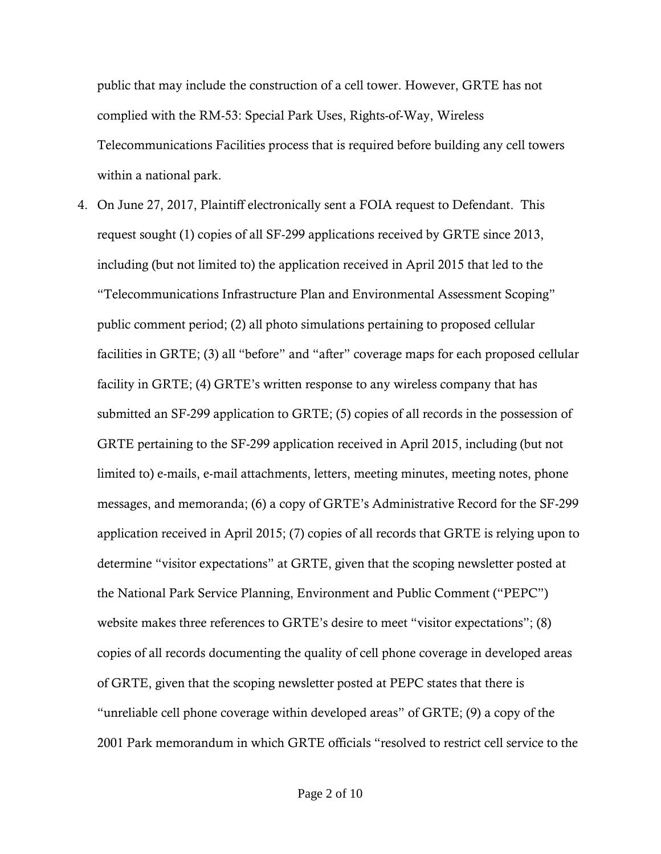public that may include the construction of a cell tower. However, GRTE has not complied with the RM-53: Special Park Uses, Rights-of-Way, Wireless Telecommunications Facilities process that is required before building any cell towers within a national park.

4. On June 27, 2017, Plaintiff electronically sent a FOIA request to Defendant. This request sought (1) copies of all SF-299 applications received by GRTE since 2013, including (but not limited to) the application received in April 2015 that led to the "Telecommunications Infrastructure Plan and Environmental Assessment Scoping" public comment period; (2) all photo simulations pertaining to proposed cellular facilities in GRTE; (3) all "before" and "after" coverage maps for each proposed cellular facility in GRTE; (4) GRTE's written response to any wireless company that has submitted an SF-299 application to GRTE; (5) copies of all records in the possession of GRTE pertaining to the SF-299 application received in April 2015, including (but not limited to) e-mails, e-mail attachments, letters, meeting minutes, meeting notes, phone messages, and memoranda; (6) a copy of GRTE's Administrative Record for the SF-299 application received in April 2015; (7) copies of all records that GRTE is relying upon to determine "visitor expectations" at GRTE, given that the scoping newsletter posted at the National Park Service Planning, Environment and Public Comment ("PEPC") website makes three references to GRTE's desire to meet "visitor expectations"; (8) copies of all records documenting the quality of cell phone coverage in developed areas of GRTE, given that the scoping newsletter posted at PEPC states that there is "unreliable cell phone coverage within developed areas" of GRTE; (9) a copy of the 2001 Park memorandum in which GRTE officials "resolved to restrict cell service to the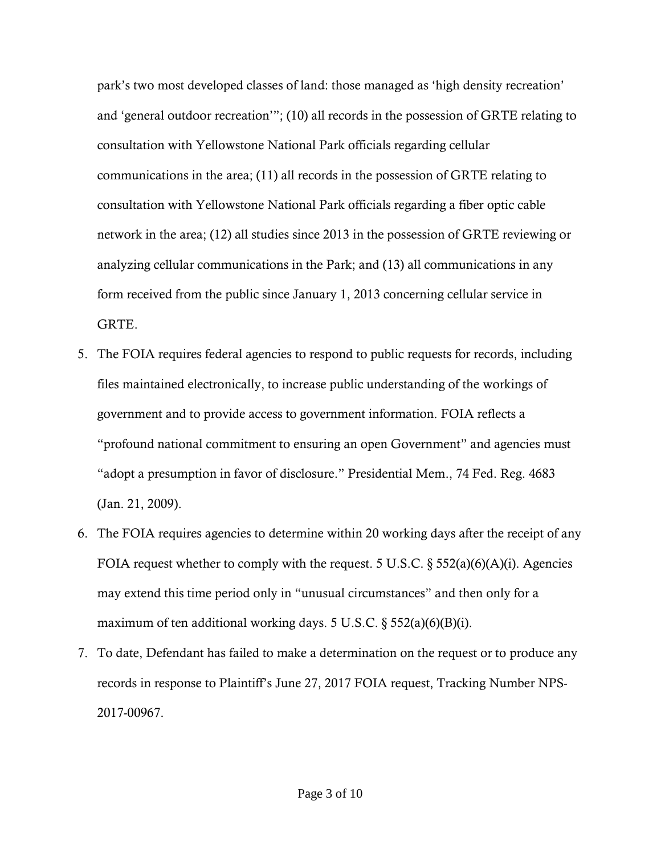park's two most developed classes of land: those managed as 'high density recreation' and 'general outdoor recreation'"; (10) all records in the possession of GRTE relating to consultation with Yellowstone National Park officials regarding cellular communications in the area; (11) all records in the possession of GRTE relating to consultation with Yellowstone National Park officials regarding a fiber optic cable network in the area; (12) all studies since 2013 in the possession of GRTE reviewing or analyzing cellular communications in the Park; and (13) all communications in any form received from the public since January 1, 2013 concerning cellular service in GRTE.

- 5. The FOIA requires federal agencies to respond to public requests for records, including files maintained electronically, to increase public understanding of the workings of government and to provide access to government information. FOIA reflects a "profound national commitment to ensuring an open Government" and agencies must "adopt a presumption in favor of disclosure." Presidential Mem., 74 Fed. Reg. 4683 (Jan. 21, 2009).
- 6. The FOIA requires agencies to determine within 20 working days after the receipt of any FOIA request whether to comply with the request. 5 U.S.C.  $\S$  552(a)(6)(A)(i). Agencies may extend this time period only in "unusual circumstances" and then only for a maximum of ten additional working days. 5 U.S.C.  $\S$  552(a)(6)(B)(i).
- 7. To date, Defendant has failed to make a determination on the request or to produce any records in response to Plaintiff's June 27, 2017 FOIA request, Tracking Number NPS-2017-00967.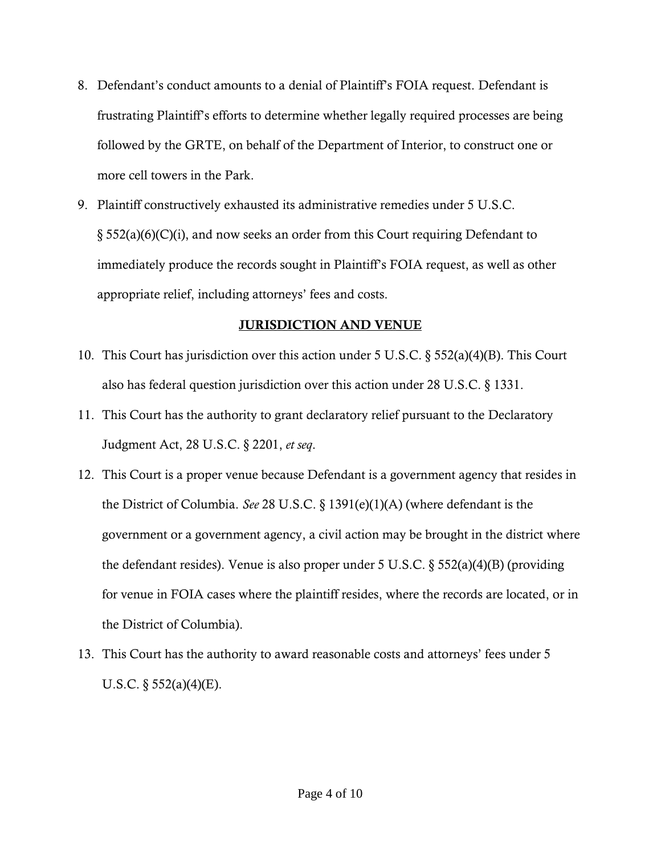- 8. Defendant's conduct amounts to a denial of Plaintiff's FOIA request. Defendant is frustrating Plaintiff's efforts to determine whether legally required processes are being followed by the GRTE, on behalf of the Department of Interior, to construct one or more cell towers in the Park.
- 9. Plaintiff constructively exhausted its administrative remedies under 5 U.S.C.  $\S 552(a)(6)(C)(i)$ , and now seeks an order from this Court requiring Defendant to immediately produce the records sought in Plaintiff's FOIA request, as well as other appropriate relief, including attorneys' fees and costs.

### JURISDICTION AND VENUE

- 10. This Court has jurisdiction over this action under 5 U.S.C. § 552(a)(4)(B). This Court also has federal question jurisdiction over this action under 28 U.S.C. § 1331.
- 11. This Court has the authority to grant declaratory relief pursuant to the Declaratory Judgment Act, 28 U.S.C. § 2201, *et seq*.
- 12. This Court is a proper venue because Defendant is a government agency that resides in the District of Columbia. *See* 28 U.S.C. § 1391(e)(1)(A) (where defendant is the government or a government agency, a civil action may be brought in the district where the defendant resides). Venue is also proper under 5 U.S.C. § 552(a)(4)(B) (providing for venue in FOIA cases where the plaintiff resides, where the records are located, or in the District of Columbia).
- 13. This Court has the authority to award reasonable costs and attorneys' fees under 5 U.S.C.  $\S$  552(a)(4)(E).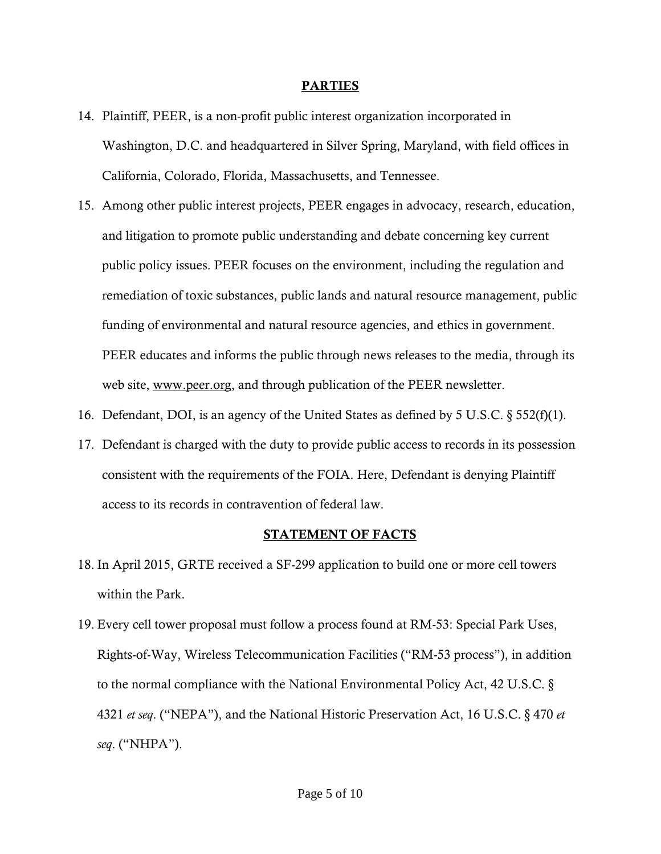#### PARTIES

- 14. Plaintiff, PEER, is a non-profit public interest organization incorporated in Washington, D.C. and headquartered in Silver Spring, Maryland, with field offices in California, Colorado, Florida, Massachusetts, and Tennessee.
- 15. Among other public interest projects, PEER engages in advocacy, research, education, and litigation to promote public understanding and debate concerning key current public policy issues. PEER focuses on the environment, including the regulation and remediation of toxic substances, public lands and natural resource management, public funding of environmental and natural resource agencies, and ethics in government. PEER educates and informs the public through news releases to the media, through its web site, [www.peer.org,](http://www.peer.org/) and through publication of the PEER newsletter.
- 16. Defendant, DOI, is an agency of the United States as defined by 5 U.S.C. § 552(f)(1).
- 17. Defendant is charged with the duty to provide public access to records in its possession consistent with the requirements of the FOIA. Here, Defendant is denying Plaintiff access to its records in contravention of federal law.

#### STATEMENT OF FACTS

- 18. In April 2015, GRTE received a SF-299 application to build one or more cell towers within the Park.
- 19. Every cell tower proposal must follow a process found at RM-53: Special Park Uses, Rights-of-Way, Wireless Telecommunication Facilities ("RM-53 process"), in addition to the normal compliance with the National Environmental Policy Act, 42 U.S.C. § 4321 *et seq*. ("NEPA"), and the National Historic Preservation Act, 16 U.S.C. § 470 *et seq*. ("NHPA").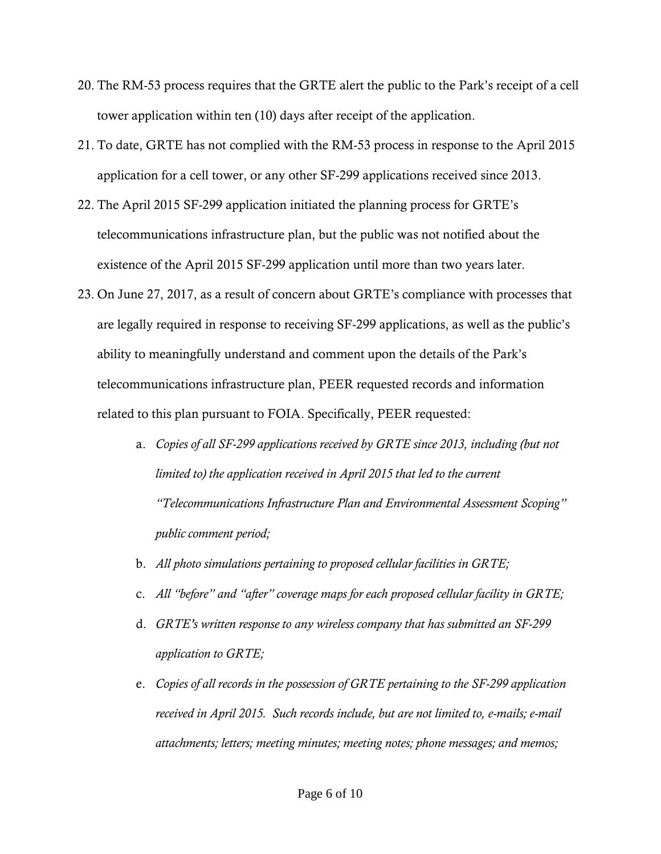- 20. The RM-53 process requires that the GRTE alert the public to the Park's receipt of a cell tower application within ten (10) days after receipt of the application.
- 21. To date, GRTE has not complied with the RM-53 process in response to the April 2015 application for a cell tower, or any other SF-299 applications received since 2013.
- 22. The April 2015 SF-299 application initiated the planning process for GRTE's telecommunications infrastructure plan, but the public was not notified about the existence of the April 2015 SF-299 application until more than two years later.
- 23. On June 27, 2017, as a result of concern about GRTE's compliance with processes that are legally required in response to receiving SF-299 applications, as well as the public's ability to meaningfully understand and comment upon the details of the Park's telecommunications infrastructure plan, PEER requested records and information related to this plan pursuant to FOIA. Specifically, PEER requested:
	- a. *Copies of all SF-299 applications received by GRTE since 2013, including (but not*  limited to) the application received in April 2015 that led to the current *"Telecommunications Infrastructure Plan and Environmental Assessment Scoping" public comment period;*
	- b. *All photo simulations pertaining to proposed cellular facilities in GRTE;*
	- c. *All "before" and "after" coverage maps for each proposed cellular facility in GRTE;*
	- d. *GRTE's written response to any wireless company that has submitted an SF-299 application to GRTE;*
	- e. *Copies of all records in the possession of GRTE pertaining to the SF-299 application received in April 2015. Such records include, but are not limited to, e-mails; e-mail attachments; letters; meeting minutes; meeting notes; phone messages; and memos;*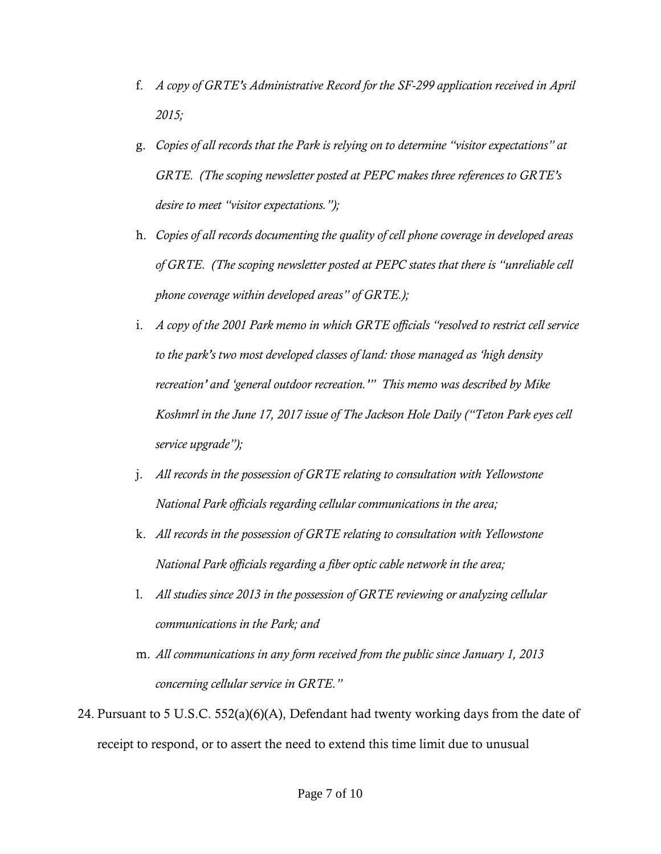- f. *A copy of GRTE's Administrative Record for the SF-299 application received in April 2015;*
- g. *Copies of all records that the Park is relying on to determine "visitor expectations" at GRTE. (The scoping newsletter posted at PEPC makes three references to GRTE's desire to meet "visitor expectations.");*
- h. *Copies of all records documenting the quality of cell phone coverage in developed areas of GRTE. (The scoping newsletter posted at PEPC states that there is "unreliable cell phone coverage within developed areas" of GRTE.);*
- i. *A copy of the 2001 Park memo in which GRTE officials "resolved to restrict cell service to the park's two most developed classes of land: those managed as 'high density recreation' and 'general outdoor recreation.'" This memo was described by Mike Koshmrl in the June 17, 2017 issue of The Jackson Hole Daily ("Teton Park eyes cell service upgrade");*
- j. *All records in the possession of GRTE relating to consultation with Yellowstone National Park officials regarding cellular communications in the area;*
- k. *All records in the possession of GRTE relating to consultation with Yellowstone National Park officials regarding a fiber optic cable network in the area;*
- l. *All studies since 2013 in the possession of GRTE reviewing or analyzing cellular communications in the Park; and*
- m. *All communications in any form received from the public since January 1, 2013 concerning cellular service in GRTE."*
- 24. Pursuant to 5 U.S.C. 552(a)(6)(A), Defendant had twenty working days from the date of receipt to respond, or to assert the need to extend this time limit due to unusual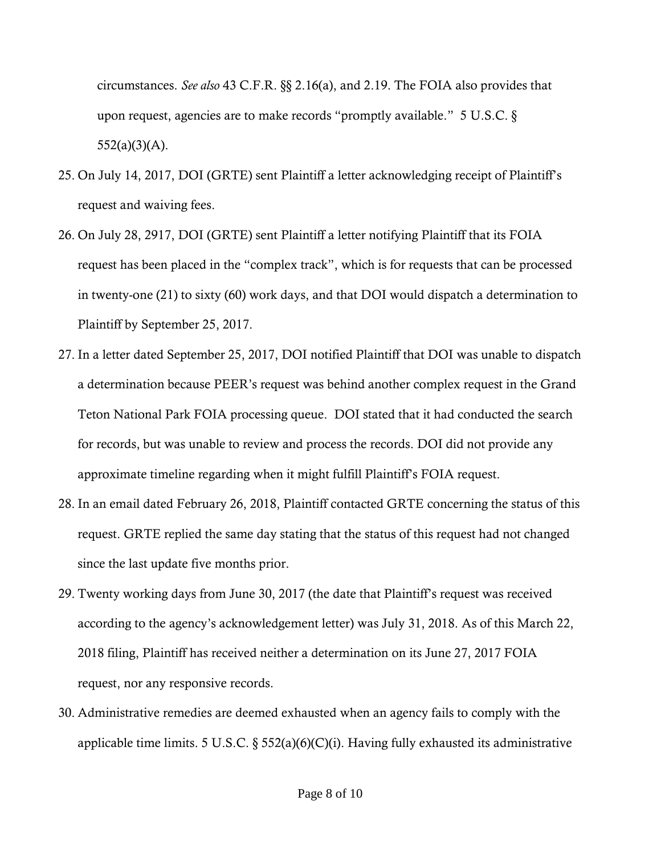circumstances. *See also* 43 C.F.R. §§ 2.16(a), and 2.19. The FOIA also provides that upon request, agencies are to make records "promptly available." 5 U.S.C. §  $552(a)(3)(A)$ .

- 25. On July 14, 2017, DOI (GRTE) sent Plaintiff a letter acknowledging receipt of Plaintiff's request and waiving fees.
- 26. On July 28, 2917, DOI (GRTE) sent Plaintiff a letter notifying Plaintiff that its FOIA request has been placed in the "complex track", which is for requests that can be processed in twenty-one (21) to sixty (60) work days, and that DOI would dispatch a determination to Plaintiff by September 25, 2017.
- 27. In a letter dated September 25, 2017, DOI notified Plaintiff that DOI was unable to dispatch a determination because PEER's request was behind another complex request in the Grand Teton National Park FOIA processing queue. DOI stated that it had conducted the search for records, but was unable to review and process the records. DOI did not provide any approximate timeline regarding when it might fulfill Plaintiff's FOIA request.
- 28. In an email dated February 26, 2018, Plaintiff contacted GRTE concerning the status of this request. GRTE replied the same day stating that the status of this request had not changed since the last update five months prior.
- 29. Twenty working days from June 30, 2017 (the date that Plaintiff's request was received according to the agency's acknowledgement letter) was July 31, 2018. As of this March 22, 2018 filing, Plaintiff has received neither a determination on its June 27, 2017 FOIA request, nor any responsive records.
- 30. Administrative remedies are deemed exhausted when an agency fails to comply with the applicable time limits. 5 U.S.C.  $\S$  552(a)(6)(C)(i). Having fully exhausted its administrative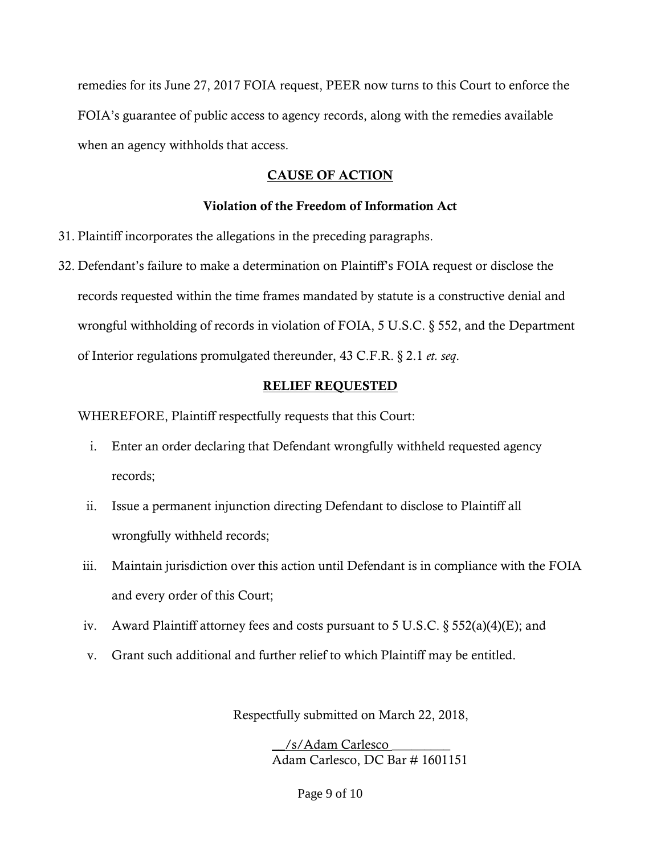remedies for its June 27, 2017 FOIA request, PEER now turns to this Court to enforce the FOIA's guarantee of public access to agency records, along with the remedies available when an agency withholds that access.

# CAUSE OF ACTION

# Violation of the Freedom of Information Act

- 31. Plaintiff incorporates the allegations in the preceding paragraphs.
- 32. Defendant's failure to make a determination on Plaintiff's FOIA request or disclose the records requested within the time frames mandated by statute is a constructive denial and wrongful withholding of records in violation of FOIA, 5 U.S.C. § 552, and the Department of Interior regulations promulgated thereunder, 43 C.F.R. § 2.1 *et. seq*.

## RELIEF REQUESTED

WHEREFORE, Plaintiff respectfully requests that this Court:

- i. Enter an order declaring that Defendant wrongfully withheld requested agency records;
- ii. Issue a permanent injunction directing Defendant to disclose to Plaintiff all wrongfully withheld records;
- iii. Maintain jurisdiction over this action until Defendant is in compliance with the FOIA and every order of this Court;
- iv. Award Plaintiff attorney fees and costs pursuant to 5 U.S.C. § 552(a)(4)(E); and
- v. Grant such additional and further relief to which Plaintiff may be entitled.

Respectfully submitted on March 22, 2018,

\_\_/s/Adam Carlesco \_\_\_\_\_\_\_\_\_ Adam Carlesco, DC Bar # 1601151

Page 9 of 10